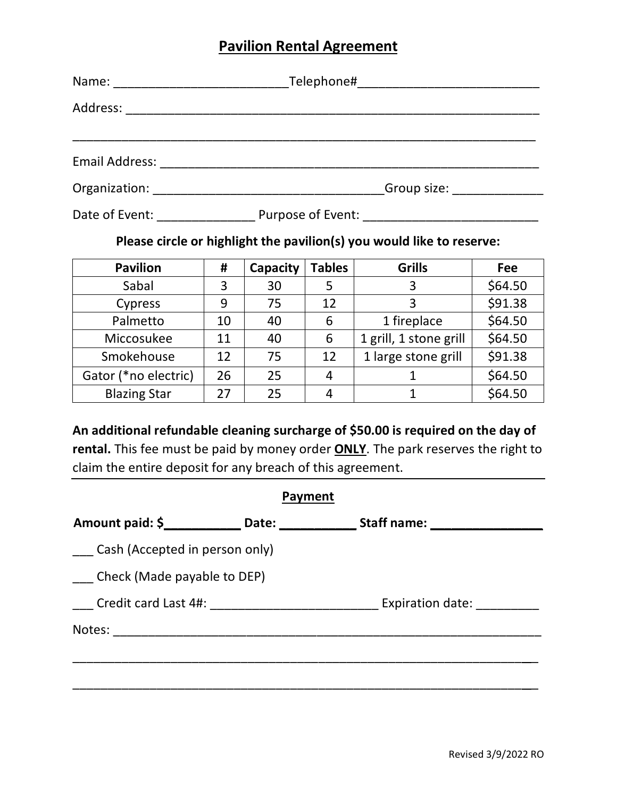## **Pavilion Rental Agreement**

|                                              | Telephone#___________________________________                                                                  |  |  |  |  |
|----------------------------------------------|----------------------------------------------------------------------------------------------------------------|--|--|--|--|
|                                              |                                                                                                                |  |  |  |  |
|                                              |                                                                                                                |  |  |  |  |
|                                              |                                                                                                                |  |  |  |  |
|                                              | Group size: Canadian Control Control Control Control Control Control Control Control Control Control Control C |  |  |  |  |
| Date of Event: Note that the state of Event: |                                                                                                                |  |  |  |  |

# **Please circle or highlight the pavilion(s) you would like to reserve:**

| <b>Pavilion</b>      | #  | Capacity | <b>Tables</b> | <b>Grills</b>          | Fee     |
|----------------------|----|----------|---------------|------------------------|---------|
| Sabal                | 3  | 30       | 5             | 3                      | \$64.50 |
| Cypress              | 9  | 75       | 12            | 3                      | \$91.38 |
| Palmetto             | 10 | 40       | 6             | 1 fireplace            | \$64.50 |
| Miccosukee           | 11 | 40       | 6             | 1 grill, 1 stone grill | \$64.50 |
| Smokehouse           | 12 | 75       | 12            | 1 large stone grill    | \$91.38 |
| Gator (*no electric) | 26 | 25       | 4             |                        | \$64.50 |
| <b>Blazing Star</b>  | 27 | 25       | 4             |                        | \$64.50 |

**An additional refundable cleaning surcharge of \$50.00 is required on the day of rental.** This fee must be paid by money order **ONLY**. The park reserves the right to claim the entire deposit for any breach of this agreement.

| <b>Payment</b>                 |  |                                                                                   |  |  |  |
|--------------------------------|--|-----------------------------------------------------------------------------------|--|--|--|
|                                |  | Amount paid: \$_______________ Date: _______________ Staff name: ________________ |  |  |  |
| Cash (Accepted in person only) |  |                                                                                   |  |  |  |
| Check (Made payable to DEP)    |  |                                                                                   |  |  |  |
|                                |  | Expiration date:                                                                  |  |  |  |
|                                |  |                                                                                   |  |  |  |
|                                |  |                                                                                   |  |  |  |
|                                |  |                                                                                   |  |  |  |